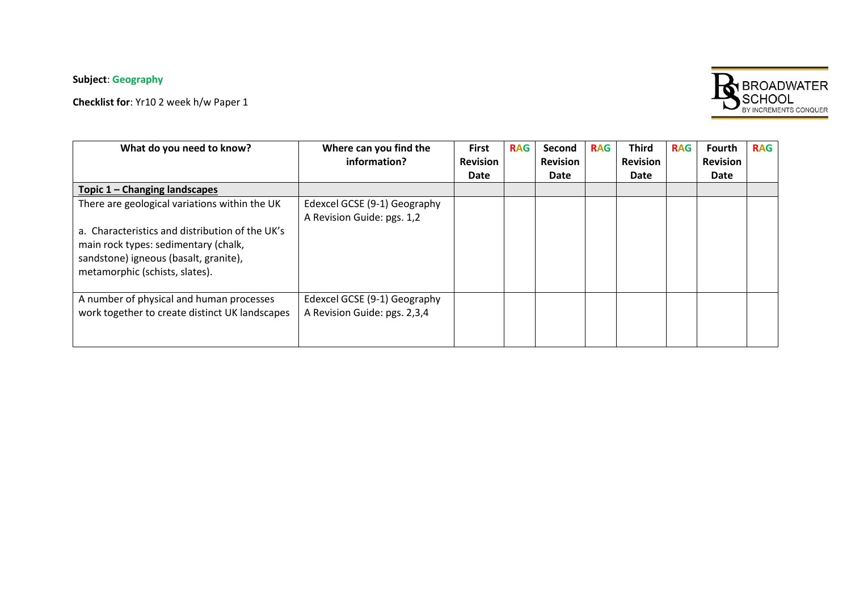## **Subject**: **Geography**

**Checklist for**: Yr10 2 week h/w Paper 1



| What do you need to know?                       | Where can you find the       | <b>First</b>    | <b>RAG</b> | Second          | <b>RAG</b> | <b>Third</b>    | <b>RAG</b> | Fourth          | <b>RAG</b> |
|-------------------------------------------------|------------------------------|-----------------|------------|-----------------|------------|-----------------|------------|-----------------|------------|
|                                                 | information?                 | <b>Revision</b> |            | <b>Revision</b> |            | <b>Revision</b> |            | <b>Revision</b> |            |
|                                                 |                              | Date            |            | Date            |            | Date            |            | Date            |            |
| Topic 1 – Changing landscapes                   |                              |                 |            |                 |            |                 |            |                 |            |
| There are geological variations within the UK   | Edexcel GCSE (9-1) Geography |                 |            |                 |            |                 |            |                 |            |
|                                                 | A Revision Guide: pgs. 1,2   |                 |            |                 |            |                 |            |                 |            |
| a. Characteristics and distribution of the UK's |                              |                 |            |                 |            |                 |            |                 |            |
| main rock types: sedimentary (chalk,            |                              |                 |            |                 |            |                 |            |                 |            |
| sandstone) igneous (basalt, granite),           |                              |                 |            |                 |            |                 |            |                 |            |
| metamorphic (schists, slates).                  |                              |                 |            |                 |            |                 |            |                 |            |
|                                                 |                              |                 |            |                 |            |                 |            |                 |            |
| A number of physical and human processes        | Edexcel GCSE (9-1) Geography |                 |            |                 |            |                 |            |                 |            |
| work together to create distinct UK landscapes  | A Revision Guide: pgs. 2,3,4 |                 |            |                 |            |                 |            |                 |            |
|                                                 |                              |                 |            |                 |            |                 |            |                 |            |
|                                                 |                              |                 |            |                 |            |                 |            |                 |            |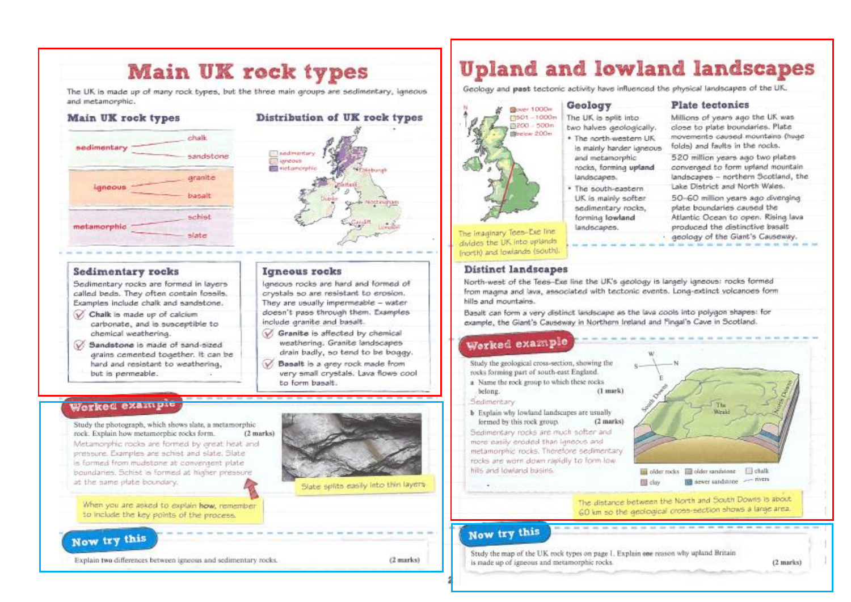## **Main UK rock types**

The UK is made up of many rock types, but the three main groups are sedimentary, igneous and metamorphic.

### **Main UK** rock types chalk sedimentary sandstone aranite ignoous basalt schist metamorphic slate

## **Sedimentary rocks**

Sedimentary rocks are formed in layers called beds. They often contain fossils. Examples include chalk and sandstone.

- Chalk is made up of calcium carbonate, and is susceptible to chemical weathering.
- Sandstone is made of sand-sized arains cemented together. It can be hard and repistant to weathering, but is permeable.

## Worked example

Study the photograph, which shows slate, a metamorphic rock. Explain how metamorphic rocks form.  $(2$  marks) Metamorphic rocks are formed by oreat heat and pressure. Examples are schist and slate. Slate le formed from mudetone at convergent plate boundaries. Schist is formed at higher pressure at the same plate boundary.



Distribution of UK rock types

Igneous rocks are hard and formed of

crystals so are resistant to erosion.

They are usually impermeable - water

Granite is affected by chemical

V Basalt is a grey rock made from

weathering. Granite landscapes

drain badly, so tend to be boggy.

very small crystals, Lava flows cool

doesn't pass through them. Examples

*<u>Inadirentary</u>* 

**Ill** rictamorphic

**Igneous** rocks

include granite and basalt.

to form bassit.

**Dignoous** 

When you are asked to explain how, remember to include the key points of the process.

## Now try this

Explain two differences between igneous and sedimentary rocks.

 $(2$  marks)

## **Upland and lowland landscapes**

Geology and past tectonic activity have influenced the physical landscapes of the UK.

Geology

The UK is sellt into

two halves aeologically.

. The north-western UK

and metamorphic

. The south-eastern

forming lowland

landscapes.

UK is mainly softer

sedimentary rocks.

landscapes.

is mainly harder laneous

rocks, forming upland.



The imaginary Tees-Exe line divides the UK into uplands (north) and lowlands (south).

### Distinct landscapes

North-west of the Tees-Exe line the UK's aeology is largely igneous; rocks formed from maama and lava, associated with tectonic events. Long-extinct volcanoes form hills and mountains.

Basalt can form a very distinct landscape as the lava cools into polygon shapes: for example, the Giant's Causeway in Northern Ireland and Fingal's Cave in Scotland.

### Worked example

Study the geological cross-section, showing the rocks forming part of south-east England.

a Name the rock group to which these rocks. (I mark) belong.

#### Sedimentary

**b** Explain why lowland landscapes are usually (2 marks) formed by this rock group. Sedimentary rocks are much softer and more easily eroded than langous and metamorphic rocks. Therefore sedimentary rocks are worn down rapidly to form low. hills and lowland basins.



older rocks **El older sandstone El chalk** and stower sandstone - rivers **III** day

(2 marks)

The distance between the North and South Downs is about 60 km so the geological cross-section shows a large area.

### Now try this

Study the map of the UK rock types on page I. Explain one reason why upland Britain is made up of igneous and metamorphic rocks.

**Plate** tectonics

Millions of years ago the UK was close to plate boundaries. Plate movements caused mountains (huge folds) and faults in the rocks.

520 million years ago two plates conversed to form upland mountain landscapes - northern Scotland, the Lake District and North Wales.

50-60 million years ago diverging plate boundaries caused the Atlantic Ocean to open. Rising lava produced the distinctive basalt

aeology of the Giant's Causeway.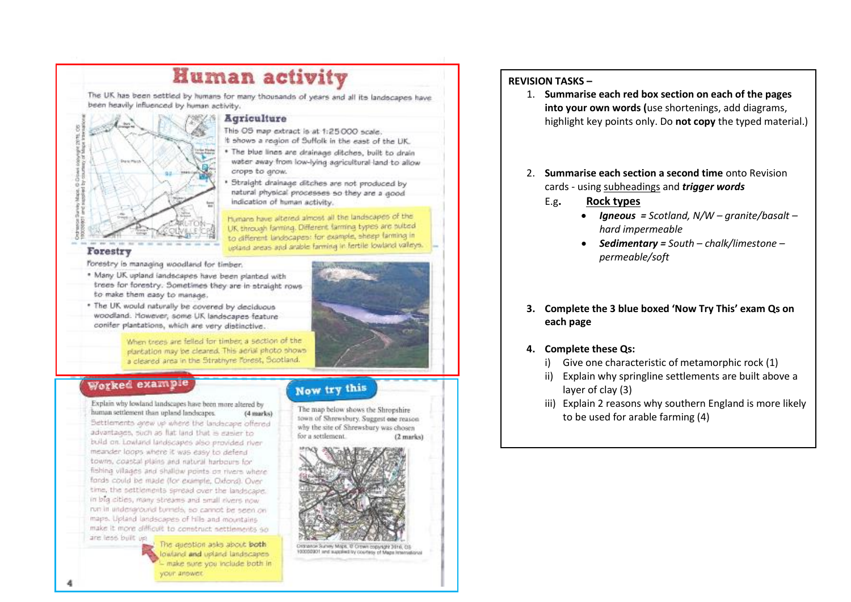## **Human activity**

The UK has been settled by humans for many thousands of years and all its landscapes have been heavily influenced by human activity.



### **Agriculture**

- This OS map extract is at 1:25 000 scale.
- It shows a region of Suffolk in the east of the UK.
- The blue lines are drainage ditches, built to drain water away from low-lying agricultural land to allow crops to grow.
- Straight drainage ditches are not produced by natural physical processes so they are a good indication of human activity.

Humann have altered almost all the landscapes of the UK through farming. Different farming types are outed to different landscapes: for example, sheep farming in upland areas and arable farming in fertile lowland valleys.

### Forestry

forestry is managing woodland for timber.

- . Many UK upland landscapes have been planted with trees for forestry. Sometimes they are in straight rowsto make them easy to manage.
- . The UK would naturally be covered by deciduous woodland. However, some UK landscapes feature conifer plantations, which are very distinctive.

When trees are felled for timber, a section of the plantation may be cleared. This aerial photo shows a cleared area in the Stratifyre Torest, Scotland.

## Worked example

Explain why lowland landscapes have been more altered by human settlement than upland landscapes.  $(4 marks)$ Bettlements arew up where the landscape offered advantages, such as flat land that is easier to build on Lowland landscapes also provided river meander loops where it was easy to defend towns, coastal plains and natural harbours for fishing villages and shallow points on rivers where fords could be made (for example, Oxford). Over time, the pettiements spread over the landscape. in big cities, many streams and small elvers now run in underlaround burnels, so cannot be seen on maps. Upland landscapes of Hils and mountains make it more difficult to construct settlements an are less built up

The question asks about both lowland and upland landscapes - make sure you include both in your anower.

## Now try this

The map below shows the Shropshire town of Shrewsbury. Suggest one reason why the site of Shrewsbury was chosen for a settlement (2 marks)



Ordnance Survey Maps, 17 Crown copyright 3016, CS 100000001 and supplied by courtesy of Mage International

### **REVISION TASKS –**

- 1. **Summarise each red box section on each of the pages into your own words (**use shortenings, add diagrams, highlight key points only. Do **not copy** the typed material.)
- 2. **Summarise each section a second time** onto Revision cards - using subheadings and *trigger words*
	- E.g**. Rock types**
		- *Igneous = Scotland, N/W – granite/basalt – hard impermeable*
		- *Sedimentary = South – chalk/limestone – permeable/soft*
- **3. Complete the 3 blue boxed 'Now Try This' exam Qs on each page**
- **4. Complete these Qs:**
	- i) Give one characteristic of metamorphic rock (1)
	- ii) Explain why springline settlements are built above a layer of clay (3)
	- iii) Explain 2 reasons why southern England is more likely to be used for arable farming (4)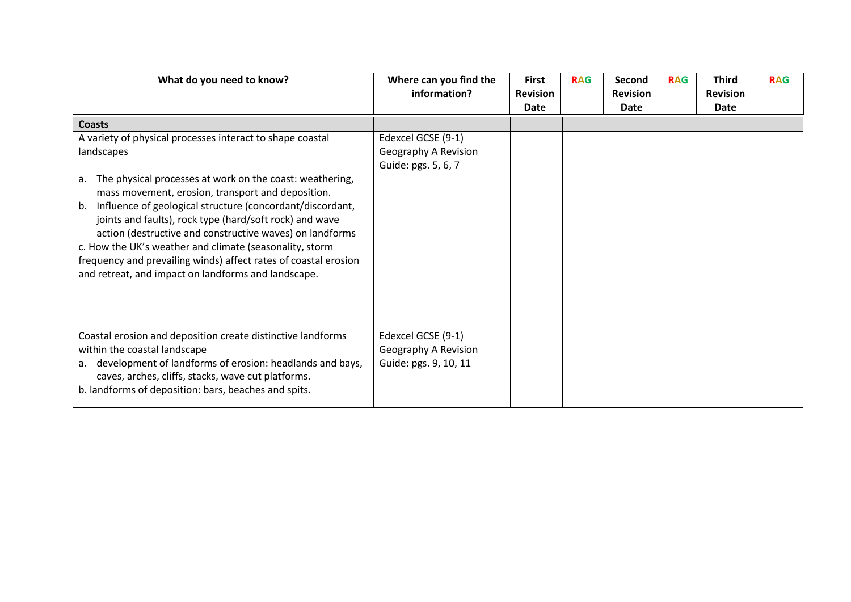| What do you need to know?                                                                                                                                                                                                                                                                                                                                                                                                                                                                                              | Where can you find the<br>information?                              | <b>First</b><br><b>Revision</b> | <b>RAG</b> | Second<br><b>Revision</b> | <b>RAG</b> | <b>Third</b><br><b>Revision</b> | <b>RAG</b> |
|------------------------------------------------------------------------------------------------------------------------------------------------------------------------------------------------------------------------------------------------------------------------------------------------------------------------------------------------------------------------------------------------------------------------------------------------------------------------------------------------------------------------|---------------------------------------------------------------------|---------------------------------|------------|---------------------------|------------|---------------------------------|------------|
|                                                                                                                                                                                                                                                                                                                                                                                                                                                                                                                        |                                                                     | Date                            |            | Date                      |            | <b>Date</b>                     |            |
| <b>Coasts</b>                                                                                                                                                                                                                                                                                                                                                                                                                                                                                                          |                                                                     |                                 |            |                           |            |                                 |            |
| A variety of physical processes interact to shape coastal<br>landscapes<br>The physical processes at work on the coast: weathering,<br>а.<br>mass movement, erosion, transport and deposition.<br>Influence of geological structure (concordant/discordant,<br>b.<br>joints and faults), rock type (hard/soft rock) and wave<br>action (destructive and constructive waves) on landforms<br>c. How the UK's weather and climate (seasonality, storm<br>frequency and prevailing winds) affect rates of coastal erosion | Edexcel GCSE (9-1)<br>Geography A Revision<br>Guide: pgs. 5, 6, 7   |                                 |            |                           |            |                                 |            |
| and retreat, and impact on landforms and landscape.<br>Coastal erosion and deposition create distinctive landforms<br>within the coastal landscape<br>development of landforms of erosion: headlands and bays,<br>a.<br>caves, arches, cliffs, stacks, wave cut platforms.<br>b. landforms of deposition: bars, beaches and spits.                                                                                                                                                                                     | Edexcel GCSE (9-1)<br>Geography A Revision<br>Guide: pgs. 9, 10, 11 |                                 |            |                           |            |                                 |            |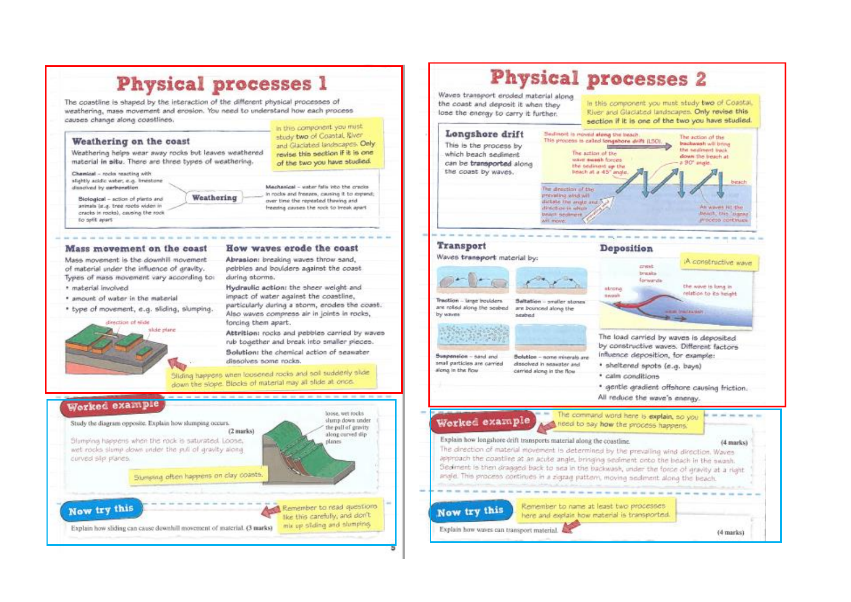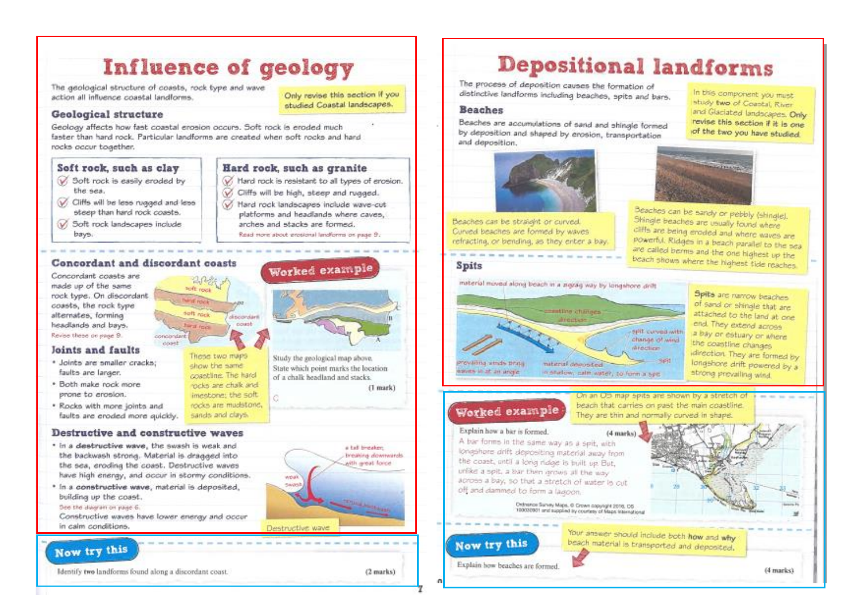## Influence of geology

The geological structure of coasts, rock type and wave action all influence coastal landforms.

### Geological structure

Geology affects how fast coastal erosion occurs. Soft rock is eroded much faster than hard rock. Particular landforms are created when soft rocks and hard rocks occur together.

 $20 - 36$ 

soft rock

**Neid House** 

concordant

cost!

### Soft rock, such as clay

- V. Soft rock is easily eroded by
- the sea.
- V Cliffs will be less rugged and less steep than hard rock coasts.
- Soft rock landscapes include bays.

### Hard rock, such as granite

V Hard rock is resistant to all types of erosion.

Only revise this section if you

studied Coastal landscapes.

- Cliffs will be high, steep and rugged.
- Hard rock landscapes include wave-cut platforms and headlands where caves. arches and stacks are formed.
	- Read more about president landforms on page 9.

Worked example

### Concordant and discordant coasts

Concordant coasts are made up of the same rock type. On discordant coasts, the rock type alternates, forminal headlands and bays. Revise these or root 9.

### loints and faults

- · Joints are smaller cracks: faults are larger.
- \* Both make rock more prone to erosion.
- . Rocks with more joints and faults are eroded more quickly.

### Destructive and constructive waves

- \* In a destructive wave, the swash is weak and the backwash strong. Material is dragged into the sea, eroding the coast. Destructive waves have high energy, and occur in stormy conditions.
- \* In a constructive wave, material is deposited. building up the coast.

#### See the diagram on page 6.

Constructive waves have lower energy and occur in calm conditions.

## Now try this

Identify two landforms found along a dispordant coast.

#### suft nick discondant count **Wall ford** These two maps Study the geological map above, show the same. State which point marks the location coastline. The hard of a chalk headland and stacks. moke are chalk and imentioner the soft rocks are mudstone.

sands and clavs.



(1 mark)

# **Depositional landforms**

The process of deposition causes the formation of distinctive landforms including beaches, spits and bars.

### **Beaches**

Beaches are accumulations of sand and shingle formed by deposition and shaped by erosion, transportation and deposition.

In this component you must study two of Coastal River and Glaciated landscapes, Only revise this section if it is one of the two you have studied

**Cinnas** 

Beaches can be sandy or pebbly (shingle).

cliffs are being eroded and where waves are

are called berms and the one highest up the beach shows where the highest tide reaches

powerful. Ridges in a beach parallel to the sea

Shingle beaches are usually found where





### **Spits**





Spits are narrow beaches of sand or shinale that are attached to the land at one end. They extend across a bay or estuary or where the coastline changes idirection. They are formed by longshore drift powered by a strong provailing wind.

(4 marks)

## Worked example

### Explain how a bier is formed

A bar forms in the same way as a spit, with longshore drift depositing material away from the coast, until a long nage is built up But, unlike a spit, a bar then grows all the way across a bay, so that a stretch of water is cut off and dammed to form a lagoon.

Detrence Survey Maps, © Crown copyright 2016, CG<br>10000001 and supplied by courtesy of Maps International

## Now try this

Explain how beaches are formed.



beach material is transported and deposited.

On an US map spits are shown by a stretch of

beach that carries on past the main coastline.

They are thin and normally curved in shape.

 $(4$  marks)